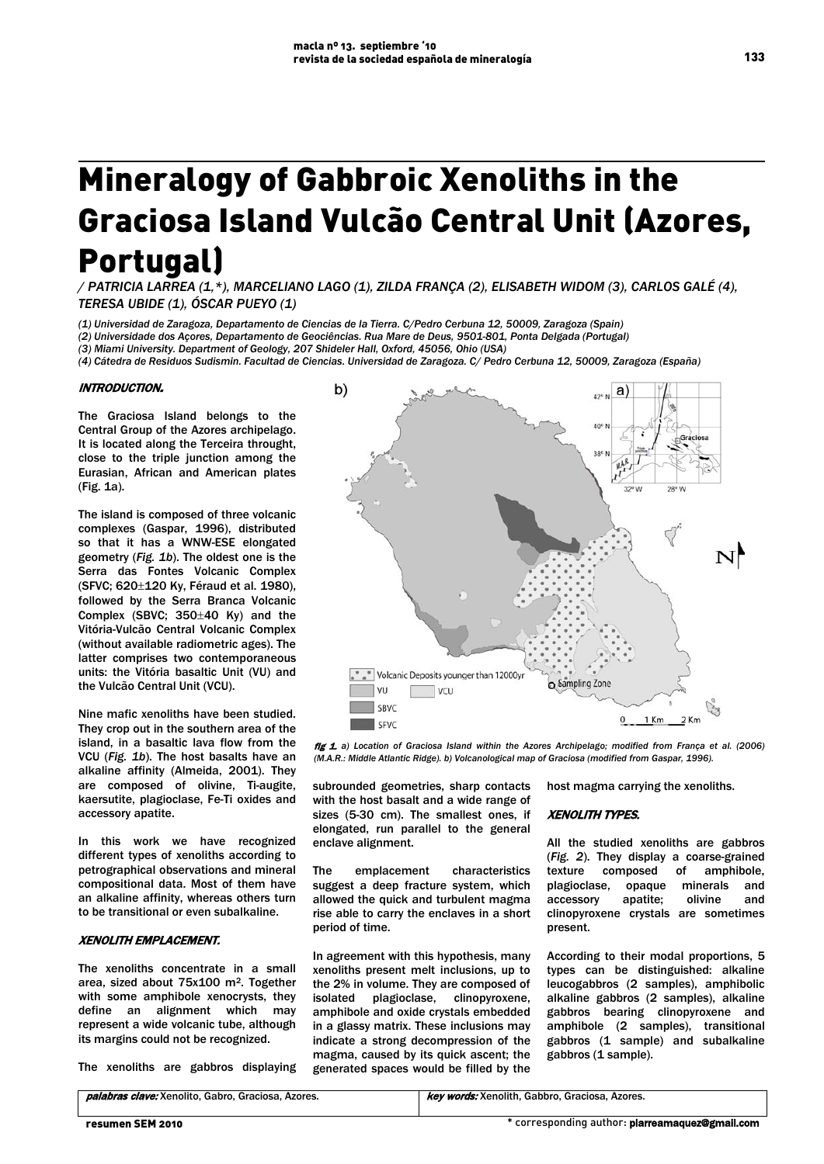# Mineralogy of Gabbroic Xenoliths in the Graciosa Island Vulcão Central Unit (Azores, Portugal)

*/ PATRICIA LARREA (1,\*), MARCELIANO LAGO (1), ZILDA FRANÇA (2), ELISABETH WIDOM (3), CARLOS GALÉ (4), TERESA UBIDE (1), ÓSCAR PUEYO (1)*

*(1) Universidad de Zaragoza, Departamento de Ciencias de la Tierra. C/Pedro Cerbuna 12, 50009, Zaragoza (Spain)*

*(2) Universidade dos Açores, Departamento de Geociências. Rua Mare de Deus, 9501-801, Ponta Delgada (Portugal)*

*(3) Miami University. Department of Geology, 207 Shideler Hall, Oxford, 45056, Ohio (USA)*

*(4) Cátedra de Residuos Sudismin. Facultad de Ciencias. Universidad de Zaragoza. C/ Pedro Cerbuna 12, 50009, Zaragoza (España)*

### INTRODUCTION.

The Graciosa Island belongs to the Central Group of the Azores archipelago. It is located along the Terceira throught, close to the triple junction among the Eurasian, African and American plates (Fig. 1a).

The island is composed of three volcanic complexes (Gaspar, 1996), distributed so that it has a WNW-ESE elongated geometry (*Fig. 1b*). The oldest one is the Serra das Fontes Volcanic Complex (SFVC; 620±120 Ky, Féraud et al. 1980), followed by the Serra Branca Volcanic Complex (SBVC; 350±40 Ky) and the Vitória-Vulcão Central Volcanic Complex (without available radiometric ages). The latter comprises two contemporaneous units: the Vitória basaltic Unit (VU) and the Vulcão Central Unit (VCU).

Nine mafic xenoliths have been studied. They crop out in the southern area of the island, in a basaltic lava flow from the VCU (*Fig. 1b*). The host basalts have an alkaline affinity (Almeida, 2001). They are composed of olivine, Ti-augite, kaersutite, plagioclase, Fe-Ti oxides and accessory apatite.

In this work we have recognized different types of xenoliths according to petrographical observations and mineral compositional data. Most of them have an alkaline affinity, whereas others turn to be transitional or even subalkaline.

## XENOLITH EMPLACEMENT.

The xenoliths concentrate in a small area, sized about 75x100 m2. Together with some amphibole xenocrysts, they define an alignment which may represent a wide volcanic tube, although its margins could not be recognized.

The xenoliths are gabbros displaying

b)  $_{42^{\circ}N}$  a)  $AD9.$  $C<sub>right</sub>$  $380$   $%$ " " Volcanic Deposits younger than 12000yr Sampling Zone VU  $\top$  vcu Cor SRVC  $\mathbf{0}$ 1 Km  $2$  Km SFVC

fig 1. *a) Location of Graciosa Island within the Azores Archipelago; modified from França et al. (2006) (M.A.R.: Middle Atlantic Ridge). b) Volcanological map of Graciosa (modified from Gaspar, 1996).*

subrounded geometries, sharp contacts with the host basalt and a wide range of sizes (5-30 cm). The smallest ones, if elongated, run parallel to the general enclave alignment.

The emplacement characteristics suggest a deep fracture system, which allowed the quick and turbulent magma rise able to carry the enclaves in a short period of time.

In agreement with this hypothesis, many xenoliths present melt inclusions, up to the 2% in volume. They are composed of isolated plagioclase, clinopyroxene, amphibole and oxide crystals embedded in a glassy matrix. These inclusions may indicate a strong decompression of the magma, caused by its quick ascent; the generated spaces would be filled by the

host magma carrying the xenoliths.

#### XENOLITH TYPES.

All the studied xenoliths are gabbros (*Fig. 2*). They display a coarse-grained texture composed of amphibole, plagioclase, opaque minerals and<br>accessory apatite; olivine and accessory apatite; olivine and clinopyroxene crystals are sometimes present.

According to their modal proportions, 5 types can be distinguished: alkaline leucogabbros (2 samples), amphibolic alkaline gabbros (2 samples), alkaline gabbros bearing clinopyroxene and amphibole (2 samples), transitional gabbros (1 sample) and subalkaline gabbros (1 sample).